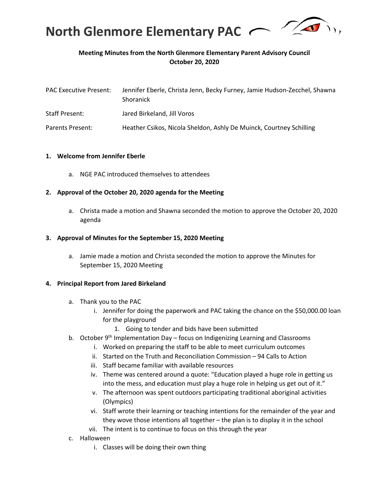

# **Meeting Minutes from the North Glenmore Elementary Parent Advisory Council October 20, 2020**

| <b>PAC Executive Present:</b> | Jennifer Eberle, Christa Jenn, Becky Furney, Jamie Hudson-Zecchel, Shawna<br>Shoranick |
|-------------------------------|----------------------------------------------------------------------------------------|
| <b>Staff Present:</b>         | Jared Birkeland, Jill Voros                                                            |
| Parents Present:              | Heather Csikos, Nicola Sheldon, Ashly De Muinck, Courtney Schilling                    |

#### **1. Welcome from Jennifer Eberle**

a. NGE PAC introduced themselves to attendees

### **2. Approval of the October 20, 2020 agenda for the Meeting**

a. Christa made a motion and Shawna seconded the motion to approve the October 20, 2020 agenda

### **3. Approval of Minutes for the September 15, 2020 Meeting**

a. Jamie made a motion and Christa seconded the motion to approve the Minutes for September 15, 2020 Meeting

### **4. Principal Report from Jared Birkeland**

- a. Thank you to the PAC
	- i. Jennifer for doing the paperwork and PAC taking the chance on the \$50,000.00 loan for the playground
		- 1. Going to tender and bids have been submitted
- b. October  $9<sup>th</sup>$  Implementation Day focus on Indigenizing Learning and Classrooms
	- i. Worked on preparing the staff to be able to meet curriculum outcomes
	- ii. Started on the Truth and Reconciliation Commission 94 Calls to Action
	- iii. Staff became familiar with available resources
	- iv. Theme was centered around a quote: "Education played a huge role in getting us into the mess, and education must play a huge role in helping us get out of it."
	- v. The afternoon was spent outdoors participating traditional aboriginal activities (Olympics)
	- vi. Staff wrote their learning or teaching intentions for the remainder of the year and they wove those intentions all together – the plan is to display it in the school
	- vii. The intent is to continue to focus on this through the year
- c. Halloween
	- i. Classes will be doing their own thing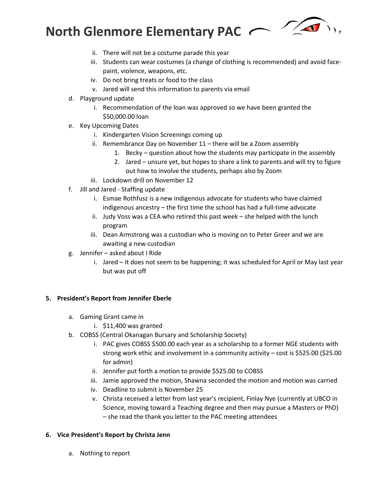# **North Glenmore Elementary PAC**



- ii. There will not be a costume parade this year
- iii. Students can wear costumes (a change of clothing is recommended) and avoid facepaint, violence, weapons, etc.
- iv. Do not bring treats or food to the class
- v. Jared will send this information to parents via email
- d. Playground update
	- i. Recommendation of the loan was approved so we have been granted the \$50,000.00 loan
- e. Key Upcoming Dates
	- i. Kindergarten Vision Screenings coming up
	- ii. Remembrance Day on November 11 there will be a Zoom assembly
		- 1. Becky question about how the students may participate in the assembly
		- 2. Jared unsure yet, but hopes to share a link to parents and will try to figure out how to involve the students, perhaps also by Zoom
	- iii. Lockdown drill on November 12
- f. Jill and Jared Staffing update
	- i. Esmae Rothfusz is a new indigenous advocate for students who have claimed indigenous ancestry – the first time the school has had a full-time advocate
	- ii. Judy Voss was a CEA who retired this past week she helped with the lunch program
	- iii. Dean Armstrong was a custodian who is moving on to Peter Greer and we are awaiting a new custodian
- g. Jennifer asked about I Ride
	- i. Jared It does not seem to be happening; it was scheduled for April or May last year but was put off

### **5. President's Report from Jennifer Eberle**

- a. Gaming Grant came in
	- i. \$11,400 was granted
- b. COBSS (Central Okanagan Bursary and Scholarship Society)
	- i. PAC gives COBSS \$500.00 each year as a scholarship to a former NGE students with strong work ethic and involvement in a community activity – cost is \$525.00 (\$25.00 for admin)
	- ii. Jennifer put forth a motion to provide \$525.00 to COBSS
	- iii. Jamie approved the motion, Shawna seconded the motion and motion was carried
	- iv. Deadline to submit is November 25
	- v. Christa received a letter from last year's recipient, Finlay Nye (currently at UBCO in Science, moving toward a Teaching degree and then may pursue a Masters or PhD) – she read the thank you letter to the PAC meeting attendees

### **6. Vice President's Report by Christa Jenn**

a. Nothing to report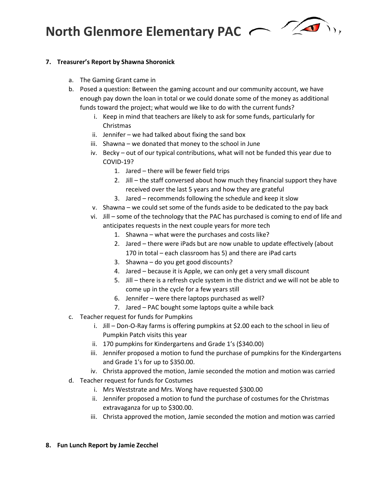**North Glenmore Elementary PAC** 



## **7. Treasurer's Report by Shawna Shoronick**

- a. The Gaming Grant came in
- b. Posed a question: Between the gaming account and our community account, we have enough pay down the loan in total or we could donate some of the money as additional funds toward the project; what would we like to do with the current funds?
	- i. Keep in mind that teachers are likely to ask for some funds, particularly for Christmas
	- ii. Jennifer we had talked about fixing the sand box
	- iii. Shawna we donated that money to the school in June
	- iv. Becky out of our typical contributions, what will not be funded this year due to COVID-19?
		- 1. Jared there will be fewer field trips
		- 2. Jill the staff conversed about how much they financial support they have received over the last 5 years and how they are grateful
		- 3. Jared recommends following the schedule and keep it slow
	- v. Shawna we could set some of the funds aside to be dedicated to the pay back
	- vi. Jill some of the technology that the PAC has purchased is coming to end of life and anticipates requests in the next couple years for more tech
		- 1. Shawna what were the purchases and costs like?
		- 2. Jared there were iPads but are now unable to update effectively (about 170 in total – each classroom has 5) and there are iPad carts
		- 3. Shawna do you get good discounts?
		- 4. Jared because it is Apple, we can only get a very small discount
		- 5. Jill there is a refresh cycle system in the district and we will not be able to come up in the cycle for a few years still
		- 6. Jennifer were there laptops purchased as well?
		- 7. Jared PAC bought some laptops quite a while back
- c. Teacher request for funds for Pumpkins
	- i. Jill Don-O-Ray farms is offering pumpkins at \$2.00 each to the school in lieu of Pumpkin Patch visits this year
	- ii. 170 pumpkins for Kindergartens and Grade 1's (\$340.00)
	- iii. Jennifer proposed a motion to fund the purchase of pumpkins for the Kindergartens and Grade 1's for up to \$350.00.
	- iv. Christa approved the motion, Jamie seconded the motion and motion was carried
- d. Teacher request for funds for Costumes
	- i. Mrs Weststrate and Mrs. Wong have requested \$300.00
	- ii. Jennifer proposed a motion to fund the purchase of costumes for the Christmas extravaganza for up to \$300.00.
	- iii. Christa approved the motion, Jamie seconded the motion and motion was carried
- **8. Fun Lunch Report by Jamie Zecchel**